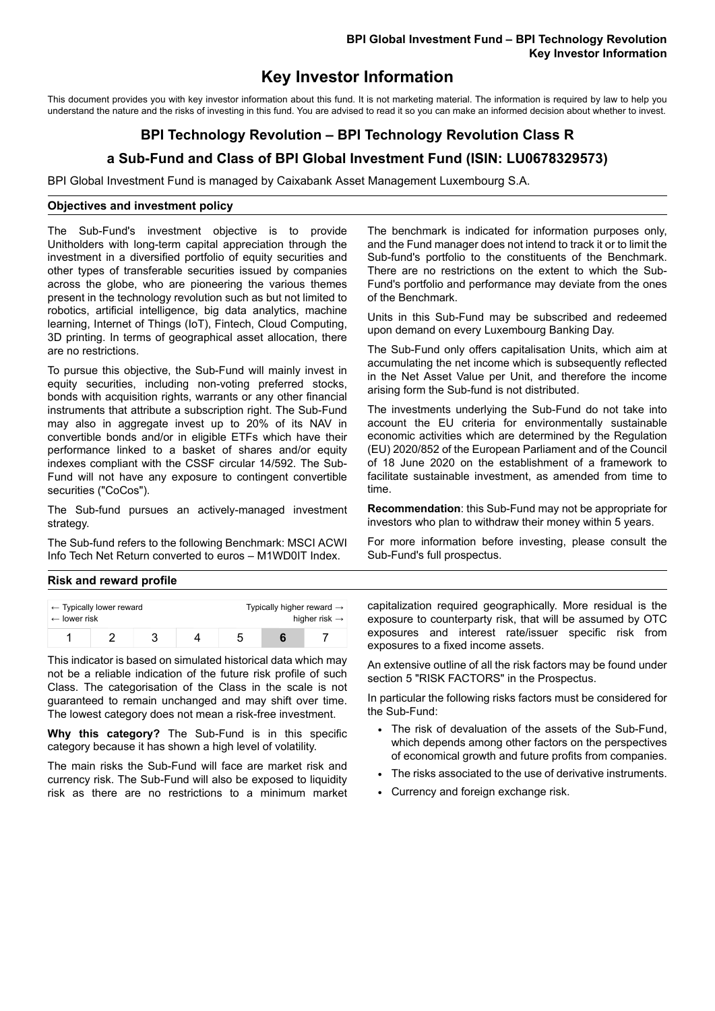# **Key Investor Information**

This document provides you with key investor information about this fund. It is not marketing material. The information is required by law to help you understand the nature and the risks of investing in this fund. You are advised to read it so you can make an informed decision about whether to invest.

# **BPI Technology Revolution – BPI Technology Revolution Class R**

## **a Sub-Fund and Class of BPI Global Investment Fund (ISIN: LU0678329573)**

BPI Global Investment Fund is managed by Caixabank Asset Management Luxembourg S.A.

### **Objectives and investment policy**

The Sub-Fund's investment objective is to provide Unitholders with long-term capital appreciation through the investment in a diversified portfolio of equity securities and other types of transferable securities issued by companies across the globe, who are pioneering the various themes present in the technology revolution such as but not limited to robotics, artificial intelligence, big data analytics, machine learning, Internet of Things (IoT), Fintech, Cloud Computing, 3D printing. In terms of geographical asset allocation, there are no restrictions.

To pursue this objective, the Sub-Fund will mainly invest in equity securities, including non-voting preferred stocks, bonds with acquisition rights, warrants or any other financial instruments that attribute a subscription right. The Sub-Fund may also in aggregate invest up to 20% of its NAV in convertible bonds and/or in eligible ETFs which have their performance linked to a basket of shares and/or equity indexes compliant with the CSSF circular 14/592. The Sub-Fund will not have any exposure to contingent convertible securities ("CoCos").

The Sub-fund pursues an actively-managed investment strategy.

The Sub-fund refers to the following Benchmark: MSCI ACWI Info Tech Net Return converted to euros – M1WD0IT Index.

The benchmark is indicated for information purposes only, and the Fund manager does not intend to track it or to limit the Sub-fund's portfolio to the constituents of the Benchmark. There are no restrictions on the extent to which the Sub-Fund's portfolio and performance may deviate from the ones of the Benchmark.

Units in this Sub-Fund may be subscribed and redeemed upon demand on every Luxembourg Banking Day.

The Sub-Fund only offers capitalisation Units, which aim at accumulating the net income which is subsequently reflected in the Net Asset Value per Unit, and therefore the income arising form the Sub-fund is not distributed.

The investments underlying the Sub-Fund do not take into account the EU criteria for environmentally sustainable economic activities which are determined by the Regulation (EU) 2020/852 of the European Parliament and of the Council of 18 June 2020 on the establishment of a framework to facilitate sustainable investment, as amended from time to time.

**Recommendation**: this Sub-Fund may not be appropriate for investors who plan to withdraw their money within 5 years.

For more information before investing, please consult the Sub-Fund's full prospectus.

### **Risk and reward profile**

| $\leftarrow$ lower risk | $\leftarrow$ Typically lower reward |  | Typically higher reward $\rightarrow$<br>higher risk $\rightarrow$ |  |  |  |
|-------------------------|-------------------------------------|--|--------------------------------------------------------------------|--|--|--|
|                         |                                     |  |                                                                    |  |  |  |

This indicator is based on simulated historical data which may not be a reliable indication of the future risk profile of such Class. The categorisation of the Class in the scale is not guaranteed to remain unchanged and may shift over time. The lowest category does not mean a risk-free investment.

**Why this category?** The Sub-Fund is in this specific category because it has shown a high level of volatility.

The main risks the Sub-Fund will face are market risk and currency risk. The Sub-Fund will also be exposed to liquidity risk as there are no restrictions to a minimum market

capitalization required geographically. More residual is the exposure to counterparty risk, that will be assumed by OTC exposures and interest rate/issuer specific risk from exposures to a fixed income assets.

An extensive outline of all the risk factors may be found under section 5 "RISK FACTORS" in the Prospectus.

In particular the following risks factors must be considered for the Sub-Fund:

- The risk of devaluation of the assets of the Sub-Fund, which depends among other factors on the perspectives of economical growth and future profits from companies.
- The risks associated to the use of derivative instruments.
- Currency and foreign exchange risk.